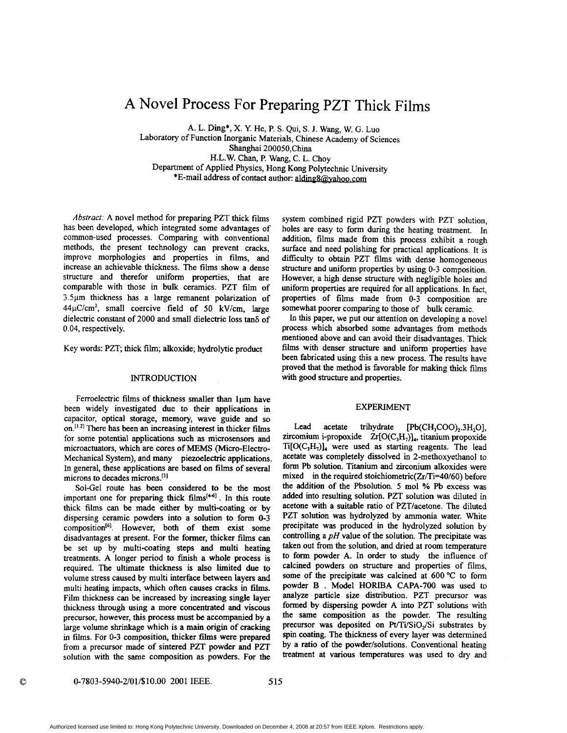# **A** Novel Process For Preparing PZT Thick Films

A. L. Ding\*, X. *Y.* He, P. S. Qui, **S. J.** Wang, W. G. Luo Laboratory of Function Inorganic Materials, Chinese Academy of Sciences Shanghai 200050,China H.L.W. Chan, P. Wang, C. **L.** Choy Department of Applied Physics, Hong Kong Polytechnic University \*E-mail address of contact author: alding8@yahoo.com

*Abstract:* A novel method for preparing PZT thick films has been developed, which integrated some advantages of common-used processes. Comparing with conventional methods, the present technology can prevent cracks, improve morphologies and properties in films, and increase an achievable thickness. The films show a dense structure and therefor uniform properties, that are comparable with those in bulk ceramics. PZT film of 3.5um thickness has a large remanent polarization of  $44\mu$ C/cm<sup>2</sup>, small coercive field of 50 kV/cm, large dielectric constant of 2000 and small dielectric **loss** tan6 of 0.04, respectively.

Key words: PZT; thick film; alkoxide; hydrolytic product

## **INTRODUCTION**

Ferroelectric films of thickness smaller than 1um have been widely investigated due to their applications in capacitor, optical storage, memory, wave guide and so on.<sup> $[12]$ </sup> There has been an increasing interest in thicker films for some potential applications such **as** microsensors and microactuators, which are cores of MEMS (Micro-Electro-Mechanical System), and many piezoelectric applications. In general, these applications are based on **films** of several microns to decades microns.<sup>[3]</sup>

Sol-Gel route has been considered to be the most important one for preparing thick **films[441.** In **this** route thick **films** can be made either by multi-coating **or** by dispersing ceramic powders into a solution to form **0-3**  composition<sup>[6]</sup>. However, both of them exist some disadvantages at present. **For** the **former,** thicker films can be set up by multi-coating steps and multi heating treatments. A longer period to finish **a** whole process is required. The ultimate thickness is also limited due to volume stress caused by multi interface between layers and multi heating impacts, which often causes cracks in **films.**  Film thickness can be increased by increasing single layer thickness through using a more concentrated and viscous precursor, however, this process **must** be accompanied by a large volume shrinkage which is a main **origin** of cracking in films. For **0-3** composition, thicker films were prepared from a precursor made of sintered PZT powder and PZT solution with the same composition **as** powders. For the system combined rigid PZT powders with PZT solution, holes are easy to form during the heating treatment. In addition, films made fiom this process exhibit a rough surface and need polishing for practical applications. It is difficulty to obtain PZT films with dense homogeneous structure and uniform properties by using **0-3** composition. However, a high dense structure with negligible holes and uniform properties are required for all applications. In fact, properties of films made fiom **0-3** composition are somewhat poorer comparing to those of bulk ceramic.

In this paper, we put our attention on developing a novel process which absorbed some advantages fiom methods mentioned above and can avoid their disadvantages. Thick **films** with denser structure and uniform properties have been fabricated using **this** a new process. The results have **proved** that the method is favorable for making thick films with good structure and properties.

## EXPERIMENT

Lead acetate trihydrate  $[Pb(CH_3COO)_2.3H_2O]$ , **zircomium** i-propoxide Zr[O(C,H,)],, titanium propoxide Ti[O(C,H,)], were used **as** starting reagents. The lead acetate was completely dissolved in 2-methoxyethanol to form Pb solution. Titanium and zirconium alkoxides were mixed in the required stoichiometric( $Zr/Ti=40/60$ ) before the addition of the Pbsolution. 5 mol % Pb excess was added into resulting solution. PZT solution was diluted in acetone with a suitable ratio of PZT/acetone. The diluted PZT solution was hydrolyzed by ammonia water. White precipitate was produced in the hydrolyzed solution by controlling a *pH* value of the solution. The precipitate was taken out **fiom** the solution, and dried at room temperature to form powder A. In order to study the influence of calcined powders on structure and properties of films, some of the precipitate was calcined at 600 °C to form powder **B** . Model HORIBA CAPA-700 was used to analyze particle **size** distribution. PZT precursor was formed by dispersing powder A into PZT solutions with the same composition **as** the powder. The resulting precursor was deposited on  $Pt/Ti/SiO<sub>2</sub>/Si$  substrates by spin coating. The thickness of every layer was determined by a ratio of the powder/solutions. Conventional heating treatment at various temperatures was used to *dry* and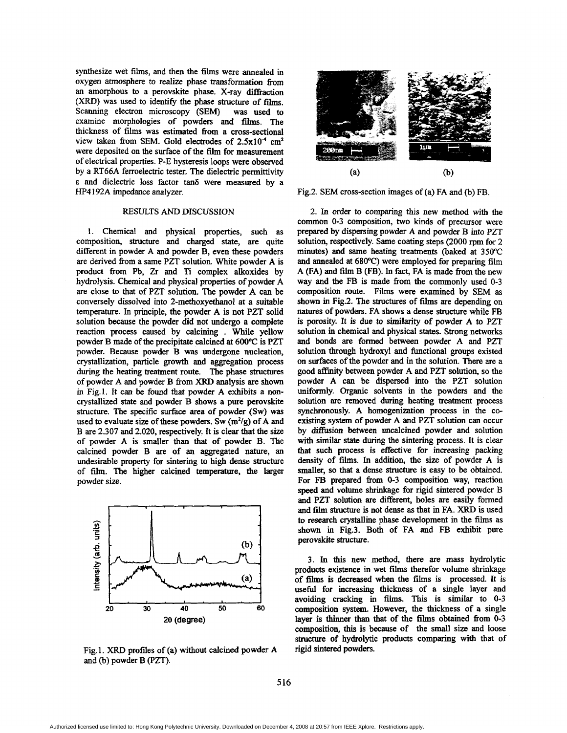synthesize wet films, and then the films were annealed in oxygen atmosphere *to* realize phase transformation fiom an amorphous to a perovskite phase. X-ray **difiaction**  (XRD) was used to identify the phase structure of films. Scanning electron microscopy (SEM) was used to examine morphologies of powders and films. The thickness of films was estimated fiom a cross-sectional view taken from SEM. Gold electrodes of  $2.5x10^{-4}$  cm<sup>2</sup> were deposited on the surface of the film for measurement of electrical properties. P-E hysteresis loops were observed by a RT66A ferroelectric tester. The dielectric permittivity **<sup>E</sup>**and dielectric loss factor **tan6** were measured by a HP4 192A impedance analyzer.

#### RESULTS *AND* DISCUSSION

1. Chemical and physical properties, such **as**  composition, structure and charged state, are quite different in powder **A** and powder B, even these powders are derived **fiom** a same **PZT** solution. White powder A is product from **Pb, Zr** and Ti complex alkoxides by hydrolysis. Chemical and physical properties of powder A are close to that of PZT solution. The powder A can be conversely dissolved into 2-methoxyethanol at a suitable temperature. In principle, the powder A is not PZT solid solution because the powder did not undergo a complete reaction process caused by calcining . While yellow powder B made of the precipitate calcined at 600°C is PZT powder. Because powder B was undergone nucleation, crystallization, particle growth and aggregation process during the heating treatment route. The phase structures of powder A and powder B from XRD analysis **are shown**  in Fig.1. It can be found that powder A exhibits a noncrystallized state and powder B shows a pure perovskite structure. The specific surface area of powder (Sw) was used to evaluate size of these powders. Sw (m<sup>2</sup>/g) of A and B are 2.307 and 2.020, respectively. It is clear that the size of powder A is smaller than that of powder B. The calcined powder B are of an aggregated nature, an undesirable property for sintering to high dense structure of film. The higher calcined temperature, the larger powder size.



Fig. 1. XRD profiles of (a) without calcined powder *A*  and (b) powder B (PZT).



Fig.2. SEM cross-section images of (a) FA and (b) FB.

2. In order to comparing this new method with the common 0-3 composition, two **kinds** of precursor were prepared by dispersing powder A and powder B into PZT solution, respectively. Same coating steps (2000 rpm for 2 minutes) and same heating treatments (baked at **350°C**  and annealed at 680°C) were employed for preparing film A (FA) and **film** B (FB). In fact, FA is made from the new way and the FB is made fiom the commonly used 0-3 composition route. Films were examined by SEM as shown in Fig.2. The structures of films are depending on natures of powders. FA shows a dense structure while FB is porosity. It is due to similarity of powder A **to** PZT solution in chemical and physical states. Strong networks and bonds are formed between powder A and PZT solution **through** hydroxyl and functional groups existed on surfaces of the powder and in the solution. There are a good affinity between powder A and **PZT** solution, **so** the powder A *can* be dispersed into the PZT solution uniformly. Organic solvents in the powders and the solution **are** removed during heating treatment process synchronously. A homogenization process in the coexisting system of powder A and PZT solution can occur by diffusion between uncalcined powder and solution with similar state during the sintering process. It is clear that such process is effective for increasing packing density of **films.** In addition, the *size* of powder A is smaller, **so** that a dense structure is easy to be obtained. For FB prepared from 0-3 composition way, reaction *speed* and volume shrinkage for rigid sintered powder B and PZT solution are different, holes **are** easily formed and film structure is not dense **as** that in FA. XRD is used to research crystalline phase development in the **films as**  shown in Fig.3. Both of FA and FB exhibit pure perovskite structure.

3. **In this** new method, there are **mass** hydrolytic products existence in wet films therefor volume shrinkage of films is decreased when the films is processed. It is useful for increasing thickness of a single layer and avoiding cracking in **films.** This is similar to 0-3 composition system. However, the thickness of a single layer is thinner than that of the **films** obtained fiom **0-3**  composition, *this* is because of the small **size** and loose structure of hydrolytic products comparing with that of rigid sintered powders.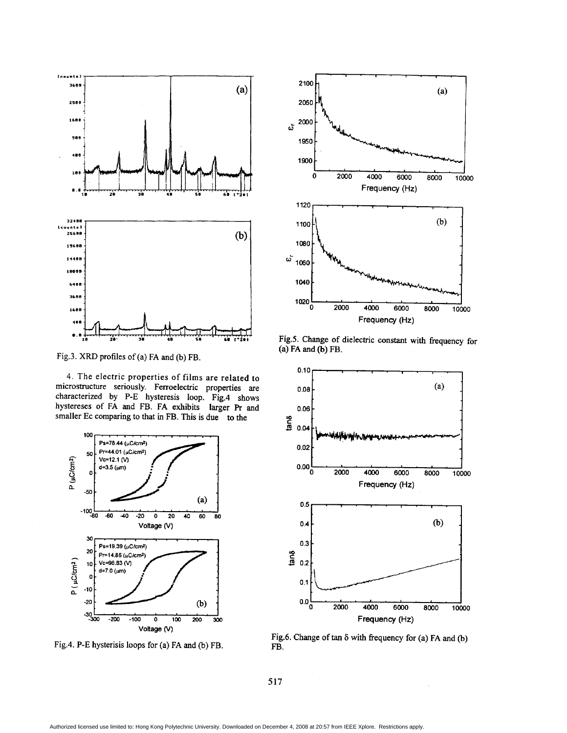

Fig.3. XRD profiles of (a) FA and (b) FB.

**4.** The electric properties of films are related to microstructure seriously. Ferroelectric properties are characterized by P-E hysteresis loop. Fig.4 shows hystereses of FA and FB. FA exhibits larger Pr and smaller Ec comparing to that in FB. This is due to the



Fig.4. P-E hysterisis loops for **(a)** FA and (b) FB.



Fig.5. Change of dielectric constant with frequency for (a) FA and (b) FB.



Fig.6. Change of tan *6* with fiequency for (a) FA and (b) FB.